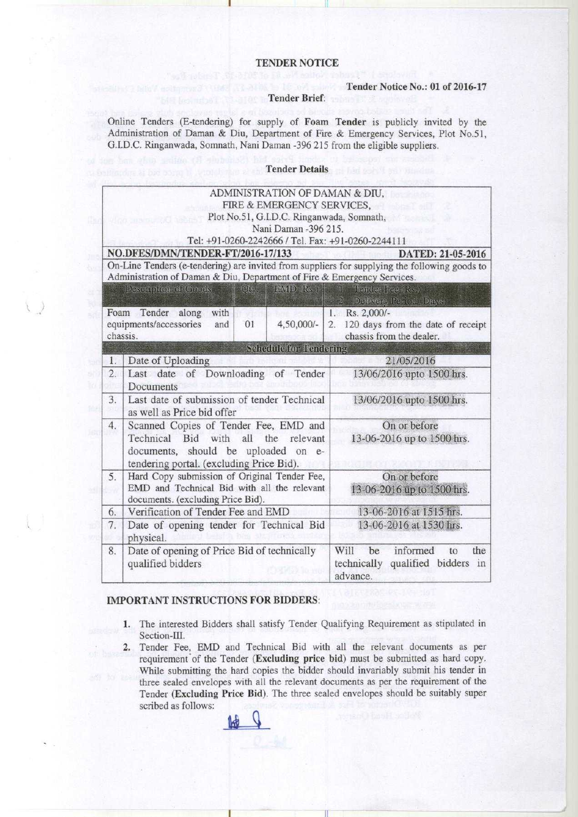### TENDER NOTICE

#### Tender Notice No.: 01 of 2016-17

#### Tender Brief:

Online Tenders (E-tendering) for supply of Foam Tender is publicly invited by the Administration of Daman & Diu, Department of Fire & Emergency Services, Plot No.51, G.I.D.C. Ringanwada, Somnath, Nani Daman -396 215 from the eligible suppliers.

#### Tender Details

| ADMINISTRATION OF DAMAN & DIU,                                                                |                                                   |                                         |
|-----------------------------------------------------------------------------------------------|---------------------------------------------------|-----------------------------------------|
| FIRE & EMERGENCY SERVICES,                                                                    |                                                   |                                         |
| Plot No.51, G.I.D.C. Ringanwada, Somnath,                                                     |                                                   |                                         |
| Nani Daman -396 215.                                                                          |                                                   |                                         |
| Tel: +91-0260-2242666 / Tel. Fax: +91-0260-2244111                                            |                                                   |                                         |
|                                                                                               | NO.DFES/DMN/TENDER-FT/2016-17/133                 | DATED: 21-05-2016                       |
| On-Line Tenders (e-tendering) are invited from suppliers for supplying the following goods to |                                                   |                                         |
| Administration of Daman & Diu, Department of Fire & Emergency Services.                       |                                                   |                                         |
|                                                                                               | <b>EMID (Rs.)</b><br>Description of Geods<br>Qty  | T.<br>Tonder Fee (Rs.)                  |
|                                                                                               |                                                   | Delivery Period (Days)                  |
| Foam                                                                                          | with<br>Tender<br>along                           | 1. Rs. 2,000/-                          |
|                                                                                               | equipments/accessories<br>01<br>4,50,000/-<br>and | 120 days from the date of receipt<br>2. |
| chassis.                                                                                      |                                                   | chassis from the dealer.                |
|                                                                                               | <b>Schedule for Tendering</b>                     |                                         |
| 1.                                                                                            | Date of Uploading                                 | 21/05/2016                              |
| 2.                                                                                            | Last date of Downloading of Tender                | 13/06/2016 upto 1500 hrs.               |
|                                                                                               | Documents                                         |                                         |
| 3.                                                                                            | Last date of submission of tender Technical       | 13/06/2016 upto 1500 hrs.               |
|                                                                                               | as well as Price bid offer                        |                                         |
| 4.                                                                                            | Scanned Copies of Tender Fee, EMD and             | On or before                            |
|                                                                                               | Technical Bid with all<br>the relevant            | 13-06-2016 up to 1500 hrs.              |
|                                                                                               | documents, should be uploaded on e-               |                                         |
|                                                                                               | tendering portal. (excluding Price Bid).          |                                         |
| 5.                                                                                            | Hard Copy submission of Original Tender Fee,      | On or before                            |
|                                                                                               | EMD and Technical Bid with all the relevant       | 13-06-2016 up to 1500 hrs.              |
|                                                                                               | documents. (excluding Price Bid).                 |                                         |
| 6.                                                                                            | Verification of Tender Fee and EMD                | 13-06-2016 at 1515 hrs.                 |
| 7.                                                                                            | Date of opening tender for Technical Bid          | 13-06-2016 at 1530 hrs.                 |
|                                                                                               | physical.                                         |                                         |
| 8.                                                                                            | Date of opening of Price Bid of technically       | informed<br>Will<br>the<br>be<br>to     |
|                                                                                               | qualified bidders                                 | technically qualified bidders<br>in     |
|                                                                                               | 99. BO-990                                        | advance.                                |

## IMPORTANT INSTRUCTIONS **FOR BIDDERS:**

- 1. The interested Bidders shall satisfy Tender Qualifying Requirement as stipulated in Section-III.
- 2. Tender Fee, EMD and Technical Bid with all the relevant documents as per requirement of the Tender (Excluding price bid) must be submitted as hard copy. While submitting the hard copies the bidder should invariably submit his tender in three sealed envelopes with all the relevant documents as per the requirement of the Tender (Excluding Price Bid). The three sealed envelopes should be suitably super scribed as follows: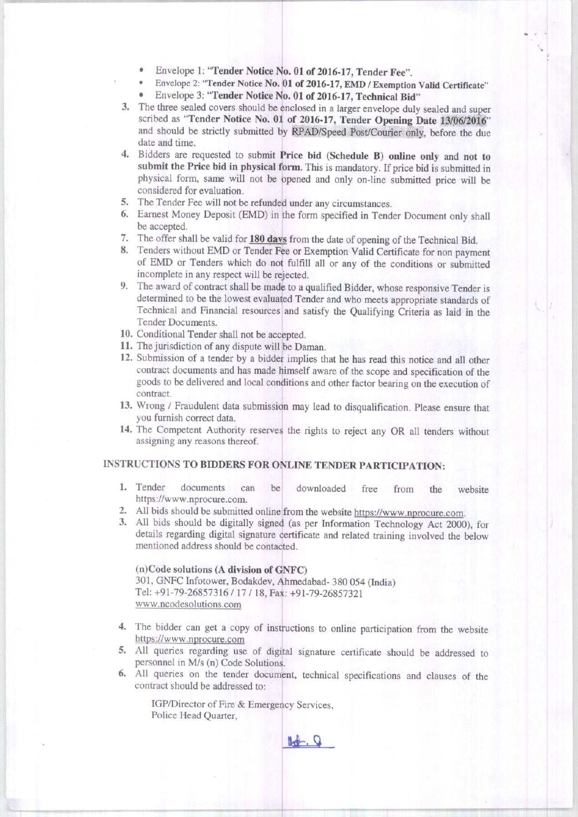- Envelope 1: "**Tender Notice No. 01** of 2016-17, Tender Fee".
- Envelope 2: "**Tender Notice No. 01 of** 2016-17, **EMD / Exemption Valid Certificate"**
- Envelope 3: "Tender Notice **No. 01 of 2016**-17, Technical Bid"
- 3. The three sealed covers should be enclosed in a larger envelope duly sealed and super scribed as "Tender Notice No. 01 of 2016-17, Tender **Opening Date** 13/06/2016" and should be strictly submitted by RPAD/Speed Post/Courier only, before the due date and time.
- 4. Bidders are requested to submit **Price bid (Schedule B) online only and not to** submit the Price bid in physical form. This is mandatory. If price bid is submitted in physical form, same will not be opened and only on-line submitted price will be considered for evaluation.
- 5. The Tender Fee will not be refunded under any circumstances.
- 6. Earnest Money Deposit (EMD) in the form specified in Tender Document only shall be accepted.
- 7. The offer shall be valid for 180 days from the date of opening of the Technical Bid.
- 8. Tenders without EMD or Tender Fee or Exemption Valid Certificate for non payment of EMD or Tenders which do not fulfill all or any of the conditions or submitted incomplete in any respect will be rejected.
- 9. The award of contract shall be made to a qualified Bidder, whose responsive Tender is determined to be the lowest evaluated Tender and who meets appropriate standards of Technical and Financial resources and satisfy the Qualifying Criteria as laid in the Tender Documents.
- 10. Conditional Tender shall not be accepted.
- 11. The jurisdiction of any dispute will be Daman.
- 12. Submission of a tender by a bidder implies that he has read this notice and all other contract documents and has made himself aware of the scope and specification of the goods to be delivered and local conditions and other factor bearing on the execution of contract.
- 13. Wrong / Fraudulent data submission may lead to disqualification. Please ensure that you furnish correct data.
- 14. The Competent Authority reserves the rights to reject any OR all tenders without assigning any reasons thereof.

# INSTRUCTIONS TO BIDDERS FOR ONLINE TENDER PARTICIPATION:

- 1. Tender documents can be downloaded free from the website https://www.nprocure.com.
- 2. All bids should be submitted online from the website https://www.nprocure.com.
- 3. All bids should be digitally signed (as per Information Technology Act 2000), for details regarding digital signature certificate and related training involved the below mentioned address should be contacted.

## **(n)Code solutions** (**A division** of GNFC) 301, GNFC Infotower, Bodakdev, Ahmedabad- 380 054 ( **India)**

Tel: +91-79-26857316 / 17 / 18, Fax: +91-79-26857321 **www.ncodesolutions.com**

- 4. The bidder can get a copy of instructions to online participation from the website https://www.nprocure.com
- 5. All queries regarding use of digital signature certificate should be addressed to personnel in M/s (n) Code Solutions.
- 6. All queries on the tender document, technical specifications and clauses of the contract should be addressed to:

IGP/Director of Fire & Emergency Services, Police Head Quarter,